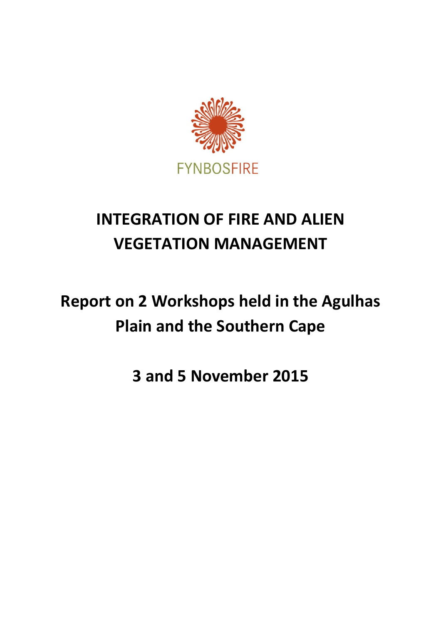

# **INTEGRATION OF FIRE AND ALIEN VEGETATION MANAGEMENT**

# **Report on 2 Workshops held in the Agulhas Plain and the Southern Cape**

**3 and 5 November 2015**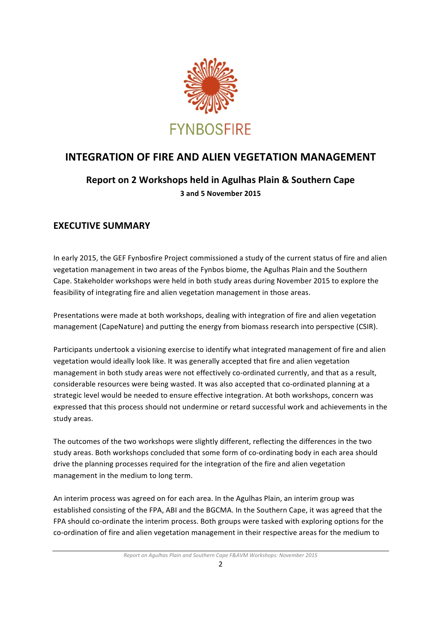

# **INTEGRATION OF FIRE AND ALIEN VEGETATION MANAGEMENT**

# **Report on 2 Workshops held in Agulhas Plain & Southern Cape 3 and 5 November 2015**

# **EXECUTIVE SUMMARY**

In early 2015, the GEF Fynbosfire Project commissioned a study of the current status of fire and alien vegetation management in two areas of the Fynbos biome, the Agulhas Plain and the Southern Cape. Stakeholder workshops were held in both study areas during November 2015 to explore the feasibility of integrating fire and alien vegetation management in those areas.

Presentations were made at both workshops, dealing with integration of fire and alien vegetation management (CapeNature) and putting the energy from biomass research into perspective (CSIR).

Participants undertook a visioning exercise to identify what integrated management of fire and alien vegetation would ideally look like. It was generally accepted that fire and alien vegetation management in both study areas were not effectively co-ordinated currently, and that as a result, considerable resources were being wasted. It was also accepted that co-ordinated planning at a strategic level would be needed to ensure effective integration. At both workshops, concern was expressed that this process should not undermine or retard successful work and achievements in the study areas.

The outcomes of the two workshops were slightly different, reflecting the differences in the two study areas. Both workshops concluded that some form of co-ordinating body in each area should drive the planning processes required for the integration of the fire and alien vegetation management in the medium to long term.

An interim process was agreed on for each area. In the Agulhas Plain, an interim group was established consisting of the FPA, ABI and the BGCMA. In the Southern Cape, it was agreed that the FPA should co-ordinate the interim process. Both groups were tasked with exploring options for the co-ordination of fire and alien vegetation management in their respective areas for the medium to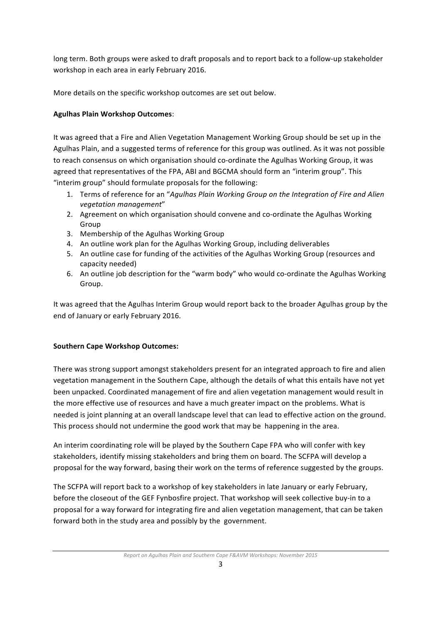long term. Both groups were asked to draft proposals and to report back to a follow-up stakeholder workshop in each area in early February 2016.

More details on the specific workshop outcomes are set out below.

### **Agulhas Plain Workshop Outcomes**:

It was agreed that a Fire and Alien Vegetation Management Working Group should be set up in the Agulhas Plain, and a suggested terms of reference for this group was outlined. As it was not possible to reach consensus on which organisation should co-ordinate the Agulhas Working Group, it was agreed that representatives of the FPA, ABI and BGCMA should form an "interim group". This "interim group" should formulate proposals for the following:

- 1. Terms of reference for an "Agulhas Plain Working Group on the Integration of Fire and Alien *vegetation management*"
- 2. Agreement on which organisation should convene and co-ordinate the Agulhas Working Group
- 3. Membership of the Agulhas Working Group
- 4. An outline work plan for the Agulhas Working Group, including deliverables
- 5. An outline case for funding of the activities of the Agulhas Working Group (resources and capacity needed)
- 6. An outline job description for the "warm body" who would co-ordinate the Agulhas Working Group.

It was agreed that the Agulhas Interim Group would report back to the broader Agulhas group by the end of January or early February 2016.

### **Southern Cape Workshop Outcomes:**

There was strong support amongst stakeholders present for an integrated approach to fire and alien vegetation management in the Southern Cape, although the details of what this entails have not yet been unpacked. Coordinated management of fire and alien vegetation management would result in the more effective use of resources and have a much greater impact on the problems. What is needed is joint planning at an overall landscape level that can lead to effective action on the ground. This process should not undermine the good work that may be happening in the area.

An interim coordinating role will be played by the Southern Cape FPA who will confer with key stakeholders, identify missing stakeholders and bring them on board. The SCFPA will develop a proposal for the way forward, basing their work on the terms of reference suggested by the groups.

The SCFPA will report back to a workshop of key stakeholders in late January or early February, before the closeout of the GEF Fynbosfire project. That workshop will seek collective buy-in to a proposal for a way forward for integrating fire and alien vegetation management, that can be taken forward both in the study area and possibly by the government.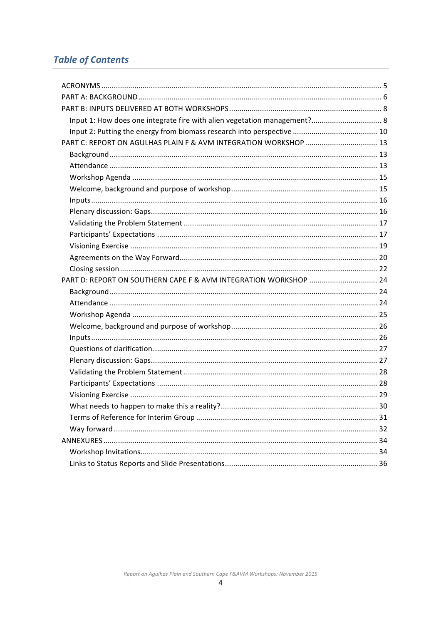# **Table of Contents**

| Input 1: How does one integrate fire with alien vegetation management? 8 |  |
|--------------------------------------------------------------------------|--|
|                                                                          |  |
|                                                                          |  |
|                                                                          |  |
|                                                                          |  |
|                                                                          |  |
|                                                                          |  |
|                                                                          |  |
|                                                                          |  |
|                                                                          |  |
|                                                                          |  |
|                                                                          |  |
|                                                                          |  |
|                                                                          |  |
| PART D: REPORT ON SOUTHERN CAPE F & AVM INTEGRATION WORKSHOP  24         |  |
|                                                                          |  |
|                                                                          |  |
|                                                                          |  |
|                                                                          |  |
|                                                                          |  |
|                                                                          |  |
|                                                                          |  |
|                                                                          |  |
|                                                                          |  |
|                                                                          |  |
|                                                                          |  |
|                                                                          |  |
|                                                                          |  |
|                                                                          |  |
|                                                                          |  |
|                                                                          |  |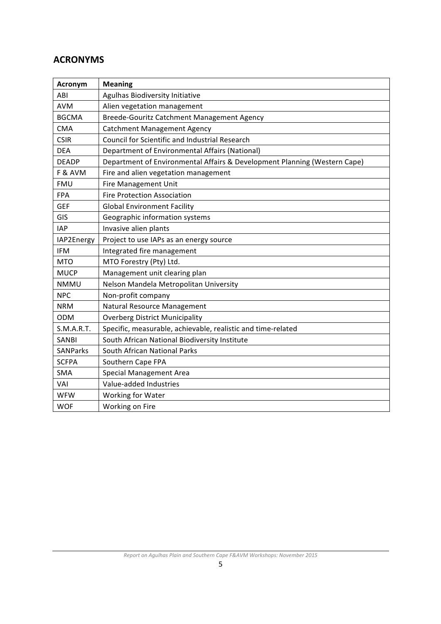# **ACRONYMS**

| Acronym         | <b>Meaning</b>                                                            |
|-----------------|---------------------------------------------------------------------------|
| ABI             | Agulhas Biodiversity Initiative                                           |
| <b>AVM</b>      | Alien vegetation management                                               |
| <b>BGCMA</b>    | Breede-Gouritz Catchment Management Agency                                |
| <b>CMA</b>      | <b>Catchment Management Agency</b>                                        |
| <b>CSIR</b>     | Council for Scientific and Industrial Research                            |
| <b>DEA</b>      | Department of Environmental Affairs (National)                            |
| <b>DEADP</b>    | Department of Environmental Affairs & Development Planning (Western Cape) |
| F & AVM         | Fire and alien vegetation management                                      |
| FMU             | Fire Management Unit                                                      |
| <b>FPA</b>      | <b>Fire Protection Association</b>                                        |
| <b>GEF</b>      | <b>Global Environment Facility</b>                                        |
| GIS             | Geographic information systems                                            |
| <b>IAP</b>      | Invasive alien plants                                                     |
| IAP2Energy      | Project to use IAPs as an energy source                                   |
| <b>IFM</b>      | Integrated fire management                                                |
| <b>MTO</b>      | MTO Forestry (Pty) Ltd.                                                   |
| <b>MUCP</b>     | Management unit clearing plan                                             |
| <b>NMMU</b>     | Nelson Mandela Metropolitan University                                    |
| <b>NPC</b>      | Non-profit company                                                        |
| <b>NRM</b>      | Natural Resource Management                                               |
| <b>ODM</b>      | <b>Overberg District Municipality</b>                                     |
| S.M.A.R.T.      | Specific, measurable, achievable, realistic and time-related              |
| <b>SANBI</b>    | South African National Biodiversity Institute                             |
| <b>SANParks</b> | South African National Parks                                              |
| <b>SCFPA</b>    | Southern Cape FPA                                                         |
| <b>SMA</b>      | <b>Special Management Area</b>                                            |
| VAI             | Value-added Industries                                                    |
| WFW             | Working for Water                                                         |
| <b>WOF</b>      | Working on Fire                                                           |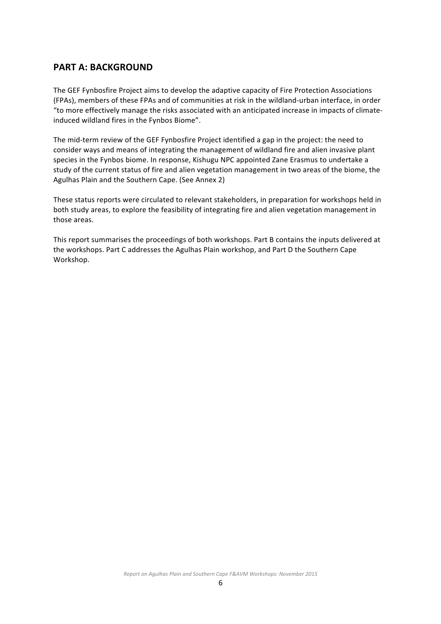### **PART A: BACKGROUND**

The GEF Fynbosfire Project aims to develop the adaptive capacity of Fire Protection Associations (FPAs), members of these FPAs and of communities at risk in the wildland-urban interface, in order "to more effectively manage the risks associated with an anticipated increase in impacts of climateinduced wildland fires in the Fynbos Biome".

The mid-term review of the GEF Fynbosfire Project identified a gap in the project: the need to consider ways and means of integrating the management of wildland fire and alien invasive plant species in the Fynbos biome. In response, Kishugu NPC appointed Zane Erasmus to undertake a study of the current status of fire and alien vegetation management in two areas of the biome, the Agulhas Plain and the Southern Cape. (See Annex 2)

These status reports were circulated to relevant stakeholders, in preparation for workshops held in both study areas, to explore the feasibility of integrating fire and alien vegetation management in those areas.

This report summarises the proceedings of both workshops. Part B contains the inputs delivered at the workshops. Part C addresses the Agulhas Plain workshop, and Part D the Southern Cape Workshop.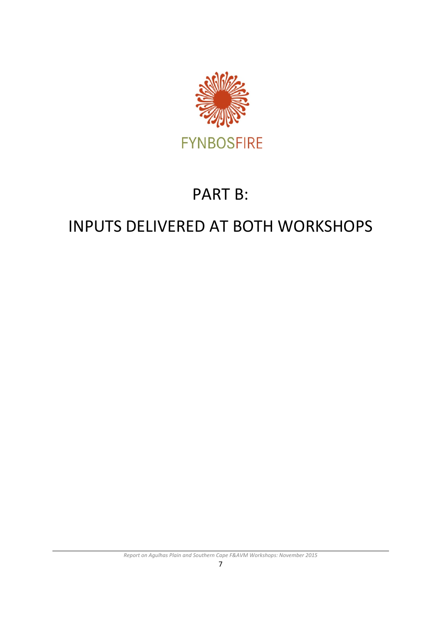

# PART B:

# INPUTS DELIVERED AT BOTH WORKSHOPS

**Report on Agulhas Plain and Southern Cape F&AVM Workshops: November 2015**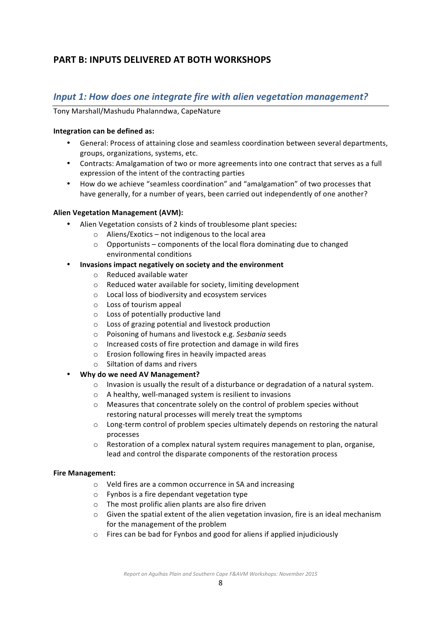# **PART B: INPUTS DELIVERED AT BOTH WORKSHOPS**

## *Input 1:* How does one integrate fire with alien vegetation management?

Tony Marshall/Mashudu Phalanndwa, CapeNature

#### **Integration can be defined as:**

- General: Process of attaining close and seamless coordination between several departments, groups, organizations, systems, etc.
- Contracts: Amalgamation of two or more agreements into one contract that serves as a full expression of the intent of the contracting parties
- How do we achieve "seamless coordination" and "amalgamation" of two processes that have generally, for a number of years, been carried out independently of one another?

#### **Alien Vegetation Management (AVM):**

- Alien Vegetation consists of 2 kinds of troublesome plant species**:**
	- $\circ$  Aliens/Exotics not indigenous to the local area
	- $\circ$  Opportunists components of the local flora dominating due to changed environmental conditions
- **Invasions impact negatively on society and the environment** 
	- $\circ$  Reduced available water
	- $\circ$  Reduced water available for society, limiting development
	- $\circ$  Local loss of biodiversity and ecosystem services
	- $\circ$  Loss of tourism appeal
	- $\circ$  Loss of potentially productive land
	- $\circ$  Loss of grazing potential and livestock production
	- o Poisoning of humans and livestock e.g. *Sesbania* seeds
	- o Increased costs of fire protection and damage in wild fires
	- $\circ$  Erosion following fires in heavily impacted areas
	- $\circ$  Siltation of dams and rivers
- **Why do we need AV Management?** 
	- $\circ$  Invasion is usually the result of a disturbance or degradation of a natural system.
	- $\circ$  A healthy, well-managed system is resilient to invasions
	- $\circ$  Measures that concentrate solely on the control of problem species without restoring natural processes will merely treat the symptoms
	- $\circ$  Long-term control of problem species ultimately depends on restoring the natural processes
	- $\circ$  Restoration of a complex natural system requires management to plan, organise, lead and control the disparate components of the restoration process

#### **Fire Management:**

- $\circ$  Veld fires are a common occurrence in SA and increasing
- $\circ$  Fynbos is a fire dependant vegetation type
- $\circ$  The most prolific alien plants are also fire driven
- $\circ$  Given the spatial extent of the alien vegetation invasion, fire is an ideal mechanism for the management of the problem
- $\circ$  Fires can be bad for Fynbos and good for aliens if applied injudiciously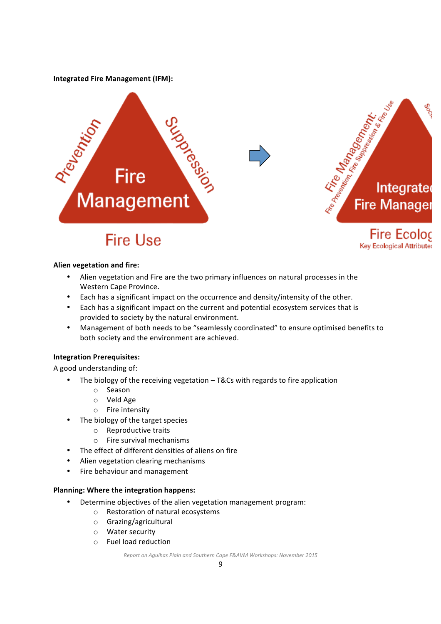**Integrated Fire Management (IFM):** 



Key Ecological Attributes

#### **Alien vegetation and fire:**

- Alien vegetation and Fire are the two primary influences on natural processes in the Western Cape Province.
- Each has a significant impact on the occurrence and density/intensity of the other.
- Each has a significant impact on the current and potential ecosystem services that is provided to society by the natural environment.
- Management of both needs to be "seamlessly coordinated" to ensure optimised benefits to both society and the environment are achieved.

#### **Integration Prerequisites:**

A good understanding of:

- The biology of the receiving vegetation  $-$  T&Cs with regards to fire application
	- o Season
	- o Veld Age
	- $\circ$  Fire intensity
- The biology of the target species
	- $\circ$  Reproductive traits
	- $\circ$  Fire survival mechanisms
- The effect of different densities of aliens on fire
- Alien vegetation clearing mechanisms
- Fire behaviour and management

#### **Planning: Where the integration happens:**

- Determine objectives of the alien vegetation management program:
	- $\circ$  Restoration of natural ecosystems
	- o Grazing/agricultural
	- o Water security
	- o Fuel load reduction

#### *Report* on Agulhas Plain and Southern Cape F&AVM Workshops: November 2015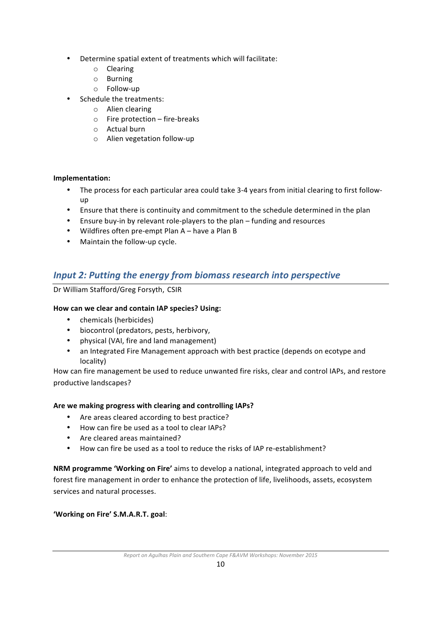- Determine spatial extent of treatments which will facilitate:
	- o Clearing
	- o Burning
	- o Follow-up
- Schedule the treatments:
	- o Alien clearing
	- $\circ$  Fire protection fire-breaks
	- o Actual burn
	- o Alien vegetation follow-up

#### **Implementation:**

- The process for each particular area could take 3-4 years from initial clearing to first followup
- Ensure that there is continuity and commitment to the schedule determined in the plan
- Ensure buy-in by relevant role-players to the plan funding and resources
- Wildfires often pre-empt Plan  $A h$ ave a Plan B
- Maintain the follow-up cycle.

# *Input 2: Putting the energy from biomass research into perspective*

Dr William Stafford/Greg Forsyth, CSIR

#### How can we clear and contain IAP species? Using:

- chemicals (herbicides)
- biocontrol (predators, pests, herbivory,
- physical (VAI, fire and land management)
- an Integrated Fire Management approach with best practice (depends on ecotype and locality)

How can fire management be used to reduce unwanted fire risks, clear and control IAPs, and restore productive landscapes?

#### Are we making progress with clearing and controlling IAPs?

- Are areas cleared according to best practice?
- How can fire be used as a tool to clear IAPs?
- Are cleared areas maintained?
- How can fire be used as a tool to reduce the risks of IAP re-establishment?

**NRM** programme 'Working on Fire' aims to develop a national, integrated approach to veld and forest fire management in order to enhance the protection of life, livelihoods, assets, ecosystem services and natural processes.

#### 'Working on Fire' S.M.A.R.T. goal: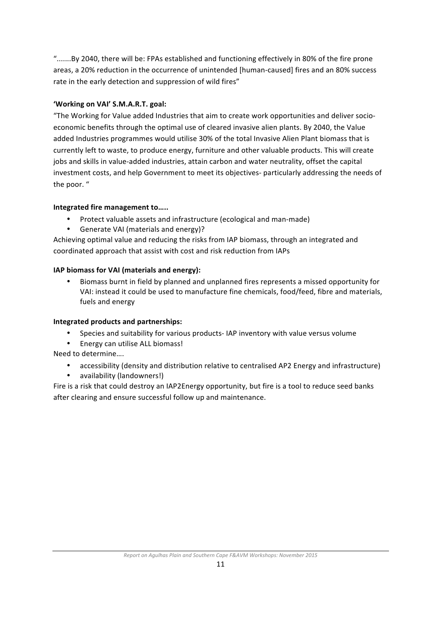".......By 2040, there will be: FPAs established and functioning effectively in 80% of the fire prone areas, a 20% reduction in the occurrence of unintended [human-caused] fires and an 80% success rate in the early detection and suppression of wild fires"

#### 'Working on VAI' S.M.A.R.T. goal:

"The Working for Value added Industries that aim to create work opportunities and deliver socioeconomic benefits through the optimal use of cleared invasive alien plants. By 2040, the Value added Industries programmes would utilise 30% of the total Invasive Alien Plant biomass that is currently left to waste, to produce energy, furniture and other valuable products. This will create jobs and skills in value-added industries, attain carbon and water neutrality, offset the capital investment costs, and help Government to meet its objectives- particularly addressing the needs of the poor. "

#### **Integrated fire management to.....**

- Protect valuable assets and infrastructure (ecological and man-made)
- Generate VAI (materials and energy)?

Achieving optimal value and reducing the risks from IAP biomass, through an integrated and coordinated approach that assist with cost and risk reduction from IAPs

#### **IAP biomass for VAI (materials and energy):**

Biomass burnt in field by planned and unplanned fires represents a missed opportunity for VAI: instead it could be used to manufacture fine chemicals, food/feed, fibre and materials, fuels and energy

#### **Integrated products and partnerships:**

- Species and suitability for various products- IAP inventory with value versus volume
- Energy can utilise ALL biomass!

Need to determine....

- accessibility (density and distribution relative to centralised AP2 Energy and infrastructure)
- availability (landowners!)

Fire is a risk that could destroy an IAP2Energy opportunity, but fire is a tool to reduce seed banks after clearing and ensure successful follow up and maintenance.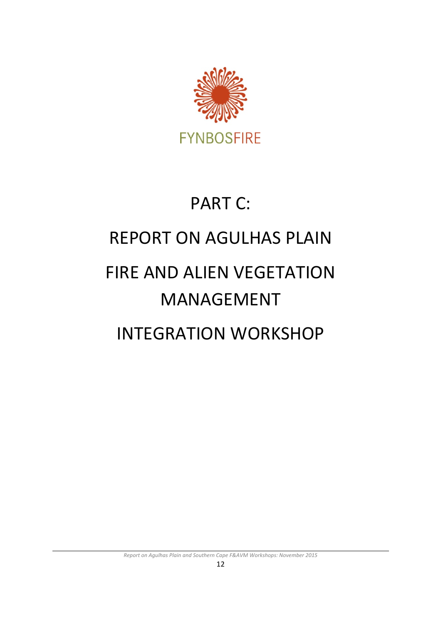

# **PART C: REPORT ON AGULHAS PLAIN**

# **FIRE AND ALIEN VEGETATION** MANAGEMENT

# INTEGRATION WORKSHOP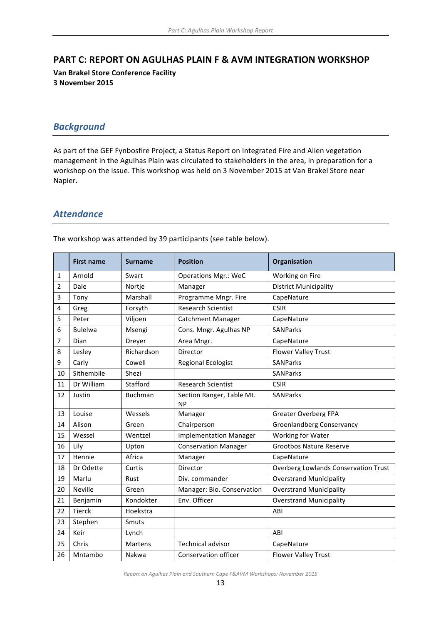#### **PART C: REPORT ON AGULHAS PLAIN F & AVM INTEGRATION WORKSHOP**

**Van Brakel Store Conference Facility 3 November 2015**

# *Background*

As part of the GEF Fynbosfire Project, a Status Report on Integrated Fire and Alien vegetation management in the Agulhas Plain was circulated to stakeholders in the area, in preparation for a workshop on the issue. This workshop was held on 3 November 2015 at Van Brakel Store near Napier. 

### *Attendance*

The workshop was attended by 39 participants (see table below).

|    | <b>First name</b> | <b>Surname</b> | <b>Position</b>                        | Organisation                                |  |
|----|-------------------|----------------|----------------------------------------|---------------------------------------------|--|
| 1  | Arnold            | Swart          | <b>Operations Mgr.: WeC</b>            | Working on Fire                             |  |
| 2  | Dale              | Nortje         | Manager                                | <b>District Municipality</b>                |  |
| 3  | Tony              | Marshall       | Programme Mngr. Fire                   | CapeNature                                  |  |
| 4  | Greg              | Forsyth        | <b>Research Scientist</b>              | <b>CSIR</b>                                 |  |
| 5  | Peter             | Viljoen        | <b>Catchment Manager</b>               | CapeNature                                  |  |
| 6  | <b>Bulelwa</b>    | Msengi         | Cons. Mngr. Agulhas NP                 | <b>SANParks</b>                             |  |
| 7  | Dian              | Dreyer         | Area Mngr.                             | CapeNature                                  |  |
| 8  | Lesley            | Richardson     | Director                               | <b>Flower Valley Trust</b>                  |  |
| 9  | Carly             | Cowell         | <b>Regional Ecologist</b>              | <b>SANParks</b>                             |  |
| 10 | Sithembile        | Shezi          |                                        | <b>SANParks</b>                             |  |
| 11 | Dr William        | Stafford       | <b>Research Scientist</b>              | <b>CSIR</b>                                 |  |
| 12 | Justin            | <b>Buchman</b> | Section Ranger, Table Mt.<br><b>NP</b> | <b>SANParks</b>                             |  |
| 13 | Louise            | Wessels        | Manager                                | <b>Greater Overberg FPA</b>                 |  |
| 14 | Alison            | Green          | Chairperson                            | <b>Groenlandberg Conservancy</b>            |  |
| 15 | Wessel            | Wentzel        | <b>Implementation Manager</b>          | Working for Water                           |  |
| 16 | Lily              | Upton          | <b>Conservation Manager</b>            | <b>Grootbos Nature Reserve</b>              |  |
| 17 | Hennie            | Africa         | Manager                                | CapeNature                                  |  |
| 18 | Dr Odette         | Curtis         | Director                               | <b>Overberg Lowlands Conservation Trust</b> |  |
| 19 | Marlu             | Rust           | Div. commander                         | <b>Overstrand Municipality</b>              |  |
| 20 | <b>Neville</b>    | Green          | Manager: Bio. Conservation             | <b>Overstrand Municipality</b>              |  |
| 21 | Benjamin          | Kondokter      | Env. Officer                           | <b>Overstrand Municipality</b>              |  |
| 22 | <b>Tierck</b>     | Hoekstra       |                                        | ABI                                         |  |
| 23 | Stephen           | Smuts          |                                        |                                             |  |
| 24 | Keir              | Lynch          |                                        | ABI                                         |  |
| 25 | Chris             | Martens        | <b>Technical advisor</b>               | CapeNature                                  |  |
| 26 | Mntambo           | Nakwa          | Conservation officer                   | <b>Flower Valley Trust</b>                  |  |

*Report on Agulhas Plain and Southern Cape F&AVM Workshops: November 2015*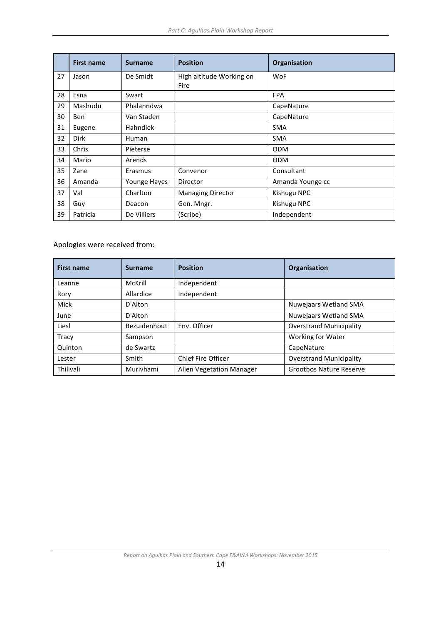|    | <b>First name</b> | <b>Surname</b> | <b>Position</b>          | Organisation     |  |
|----|-------------------|----------------|--------------------------|------------------|--|
| 27 | Jason             | De Smidt       | High altitude Working on | <b>WoF</b>       |  |
|    |                   |                | Fire                     |                  |  |
| 28 | Esna              | Swart          |                          | <b>FPA</b>       |  |
| 29 | Mashudu           | Phalanndwa     |                          | CapeNature       |  |
| 30 | <b>Ben</b>        | Van Staden     |                          | CapeNature       |  |
| 31 | Eugene            | Hahndiek       |                          | <b>SMA</b>       |  |
| 32 | <b>Dirk</b>       | Human          |                          | <b>SMA</b>       |  |
| 33 | Chris             | Pieterse       |                          | <b>ODM</b>       |  |
| 34 | Mario             | Arends         |                          | <b>ODM</b>       |  |
| 35 | Zane              | Erasmus        | Convenor                 | Consultant       |  |
| 36 | Amanda            | Younge Hayes   | Director                 | Amanda Younge cc |  |
| 37 | Val               | Charlton       | <b>Managing Director</b> | Kishugu NPC      |  |
| 38 | Guy               | Deacon         | Gen. Mngr.               | Kishugu NPC      |  |
| 39 | Patricia          | De Villiers    | (Scribe)                 | Independent      |  |

Apologies were received from:

| <b>First name</b> | <b>Surname</b> | <b>Position</b>           | Organisation                   |  |
|-------------------|----------------|---------------------------|--------------------------------|--|
| Leanne            | McKrill        | Independent               |                                |  |
| Rory              | Allardice      | Independent               |                                |  |
| Mick              | D'Alton        |                           | Nuwejaars Wetland SMA          |  |
| June              | D'Alton        |                           | <b>Nuwejaars Wetland SMA</b>   |  |
| Liesl             | Bezuidenhout   | Env. Officer              | <b>Overstrand Municipality</b> |  |
| Tracy             | Sampson        |                           | Working for Water              |  |
| Quinton           | de Swartz      |                           | CapeNature                     |  |
| Lester            | Smith          | <b>Chief Fire Officer</b> | <b>Overstrand Municipality</b> |  |
| Thilivali         | Murivhami      | Alien Vegetation Manager  | <b>Grootbos Nature Reserve</b> |  |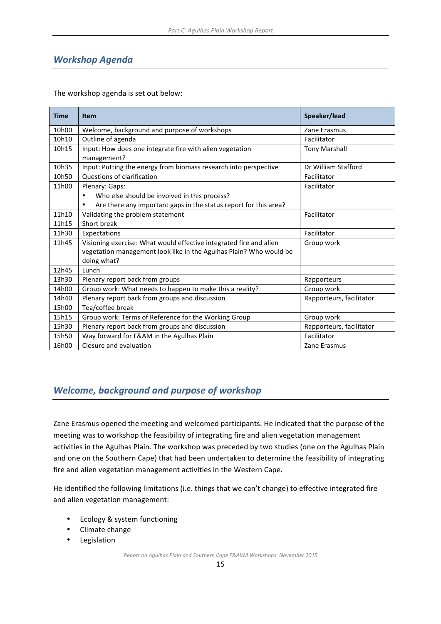# *Workshop Agenda*

The workshop agenda is set out below:

| <b>Time</b> | <b>Item</b>                                                                   | Speaker/lead             |
|-------------|-------------------------------------------------------------------------------|--------------------------|
| 10h00       | Welcome, background and purpose of workshops                                  | Zane Erasmus             |
| 10h10       | Outline of agenda                                                             | Facilitator              |
| 10h15       | Input: How does one integrate fire with alien vegetation                      | <b>Tony Marshall</b>     |
|             | management?                                                                   |                          |
| 10h35       | Input: Putting the energy from biomass research into perspective              | Dr William Stafford      |
| 10h50       | Questions of clarification                                                    | Facilitator              |
| 11h00       | Plenary: Gaps:                                                                | Facilitator              |
|             | Who else should be involved in this process?                                  |                          |
|             | Are there any important gaps in the status report for this area?<br>$\bullet$ |                          |
| 11h10       | Validating the problem statement                                              | Facilitator              |
| 11h15       | Short break                                                                   |                          |
| 11h30       | Expectations                                                                  | Facilitator              |
| 11h45       | Visioning exercise: What would effective integrated fire and alien            | Group work               |
|             | vegetation management look like in the Agulhas Plain? Who would be            |                          |
|             | doing what?                                                                   |                          |
| 12h45       | Lunch                                                                         |                          |
| 13h30       | Plenary report back from groups                                               | Rapporteurs              |
| 14h00       | Group work: What needs to happen to make this a reality?                      | Group work               |
| 14h40       | Plenary report back from groups and discussion                                | Rapporteurs, facilitator |
| 15h00       | Tea/coffee break                                                              |                          |
| 15h15       | Group work: Terms of Reference for the Working Group                          | Group work               |
| 15h30       | Plenary report back from groups and discussion                                | Rapporteurs, facilitator |
| 15h50       | Way forward for F&AM in the Agulhas Plain                                     | Facilitator              |
| 16h00       | Closure and evaluation                                                        | Zane Erasmus             |

# **Welcome, background and purpose of workshop**

Zane Erasmus opened the meeting and welcomed participants. He indicated that the purpose of the meeting was to workshop the feasibility of integrating fire and alien vegetation management activities in the Agulhas Plain. The workshop was preceded by two studies (one on the Agulhas Plain and one on the Southern Cape) that had been undertaken to determine the feasibility of integrating fire and alien vegetation management activities in the Western Cape.

He identified the following limitations (i.e. things that we can't change) to effective integrated fire and alien vegetation management:

- Ecology & system functioning
- Climate change
- Legislation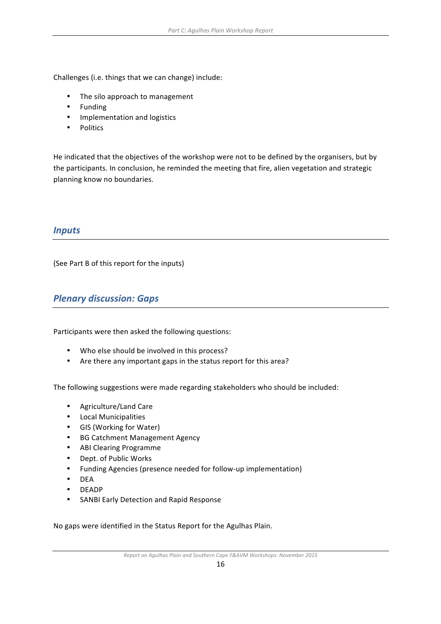Challenges (i.e. things that we can change) include:

- The silo approach to management
- Funding
- Implementation and logistics
- Politics

He indicated that the objectives of the workshop were not to be defined by the organisers, but by the participants. In conclusion, he reminded the meeting that fire, alien vegetation and strategic planning know no boundaries.

### *Inputs*

(See Part B of this report for the inputs)

# *Plenary discussion: Gaps*

Participants were then asked the following questions:

- Who else should be involved in this process?
- Are there any important gaps in the status report for this area?

The following suggestions were made regarding stakeholders who should be included:

- Agriculture/Land Care
- Local Municipalities
- GIS (Working for Water)
- BG Catchment Management Agency
- ABI Clearing Programme
- Dept. of Public Works
- Funding Agencies (presence needed for follow-up implementation)
- DEA
- DEADP
- SANBI Early Detection and Rapid Response

No gaps were identified in the Status Report for the Agulhas Plain.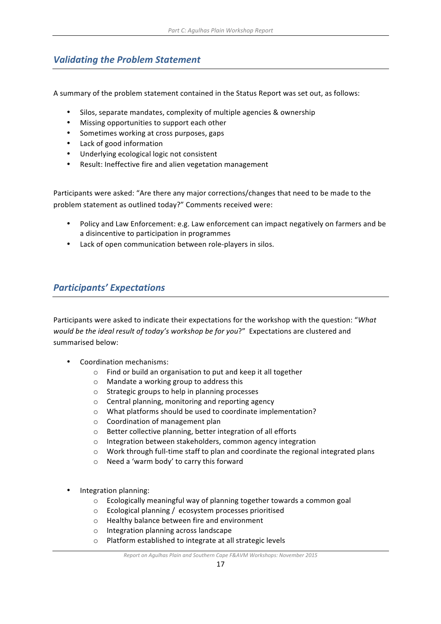# **Validating the Problem Statement**

A summary of the problem statement contained in the Status Report was set out, as follows:

- Silos, separate mandates, complexity of multiple agencies & ownership
- Missing opportunities to support each other
- Sometimes working at cross purposes, gaps
- Lack of good information
- Underlying ecological logic not consistent
- Result: Ineffective fire and alien vegetation management

Participants were asked: "Are there any major corrections/changes that need to be made to the problem statement as outlined today?" Comments received were:

- Policy and Law Enforcement: e.g. Law enforcement can impact negatively on farmers and be a disincentive to participation in programmes
- Lack of open communication between role-players in silos.

# *Participants' Expectations*

Participants were asked to indicate their expectations for the workshop with the question: "What *would be the ideal result of today's workshop be for you?"* Expectations are clustered and summarised below:

- Coordination mechanisms:
	- $\circ$  Find or build an organisation to put and keep it all together
	- $\circ$  Mandate a working group to address this
	- $\circ$  Strategic groups to help in planning processes
	- $\circ$  Central planning, monitoring and reporting agency
	- $\circ$  What platforms should be used to coordinate implementation?
	- $\circ$  Coordination of management plan
	- $\circ$  Better collective planning, better integration of all efforts
	- o Integration between stakeholders, common agency integration
	- $\circ$  Work through full-time staff to plan and coordinate the regional integrated plans
	- $\circ$  Need a 'warm body' to carry this forward
- Integration planning:
	- $\circ$  Ecologically meaningful way of planning together towards a common goal
	- $\circ$  Ecological planning / ecosystem processes prioritised
	- o Healthy balance between fire and environment
	- $\circ$  Integration planning across landscape
	- $\circ$  Platform established to integrate at all strategic levels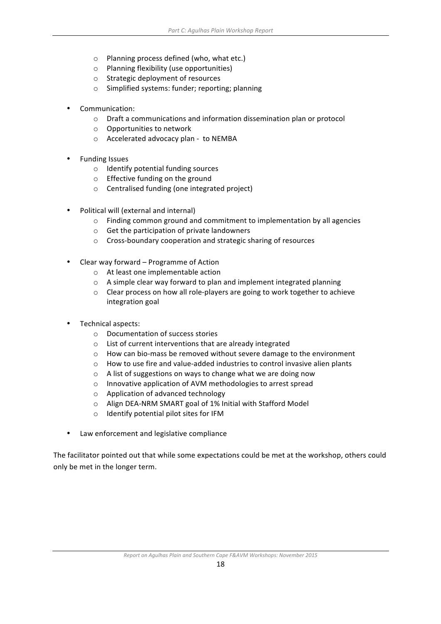- $\circ$  Planning process defined (who, what etc.)
- o Planning flexibility (use opportunities)
- $\circ$  Strategic deployment of resources
- o Simplified systems: funder; reporting; planning
- Communication:
	- $\circ$  Draft a communications and information dissemination plan or protocol
	- $\circ$  Opportunities to network
	- $\circ$  Accelerated advocacy plan to NEMBA
- **Funding Issues** 
	- $\circ$  Identify potential funding sources
	- $\circ$  Effective funding on the ground
	- $\circ$  Centralised funding (one integrated project)
- Political will (external and internal)
	- $\circ$  Finding common ground and commitment to implementation by all agencies
	- $\circ$  Get the participation of private landowners
	- $\circ$  Cross-boundary cooperation and strategic sharing of resources
- Clear way forward Programme of Action
	- $\circ$  At least one implementable action
	- $\circ$  A simple clear way forward to plan and implement integrated planning
	- $\circ$  Clear process on how all role-players are going to work together to achieve integration goal
- Technical aspects:
	- $\circ$  Documentation of success stories
	- $\circ$  List of current interventions that are already integrated
	- $\circ$  How can bio-mass be removed without severe damage to the environment
	- $\circ$  How to use fire and value-added industries to control invasive alien plants
	- $\circ$  A list of suggestions on ways to change what we are doing now
	- o Innovative application of AVM methodologies to arrest spread
	- $\circ$  Application of advanced technology
	- $\circ$  Align DEA-NRM SMART goal of 1% Initial with Stafford Model
	- $\circ$  Identify potential pilot sites for IFM
- Law enforcement and legislative compliance

The facilitator pointed out that while some expectations could be met at the workshop, others could only be met in the longer term.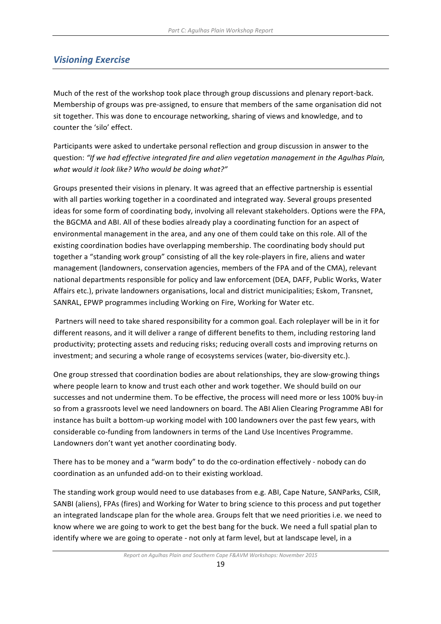# *Visioning Exercise*

Much of the rest of the workshop took place through group discussions and plenary report-back. Membership of groups was pre-assigned, to ensure that members of the same organisation did not sit together. This was done to encourage networking, sharing of views and knowledge, and to counter the 'silo' effect.

Participants were asked to undertake personal reflection and group discussion in answer to the question: "If we had effective integrated fire and alien vegetation management in the Agulhas Plain, what would it look like? Who would be doing what?"

Groups presented their visions in plenary. It was agreed that an effective partnership is essential with all parties working together in a coordinated and integrated way. Several groups presented ideas for some form of coordinating body, involving all relevant stakeholders. Options were the FPA, the BGCMA and ABI. All of these bodies already play a coordinating function for an aspect of environmental management in the area, and any one of them could take on this role. All of the existing coordination bodies have overlapping membership. The coordinating body should put together a "standing work group" consisting of all the key role-players in fire, aliens and water management (landowners, conservation agencies, members of the FPA and of the CMA), relevant national departments responsible for policy and law enforcement (DEA, DAFF, Public Works, Water Affairs etc.), private landowners organisations, local and district municipalities; Eskom, Transnet, SANRAL, EPWP programmes including Working on Fire, Working for Water etc.

Partners will need to take shared responsibility for a common goal. Each roleplayer will be in it for different reasons, and it will deliver a range of different benefits to them, including restoring land productivity; protecting assets and reducing risks; reducing overall costs and improving returns on investment; and securing a whole range of ecosystems services (water, bio-diversity etc.).

One group stressed that coordination bodies are about relationships, they are slow-growing things where people learn to know and trust each other and work together. We should build on our successes and not undermine them. To be effective, the process will need more or less 100% buy-in so from a grassroots level we need landowners on board. The ABI Alien Clearing Programme ABI for instance has built a bottom-up working model with 100 landowners over the past few years, with considerable co-funding from landowners in terms of the Land Use Incentives Programme. Landowners don't want yet another coordinating body.

There has to be money and a "warm body" to do the co-ordination effectively - nobody can do coordination as an unfunded add-on to their existing workload.

The standing work group would need to use databases from e.g. ABI, Cape Nature, SANParks, CSIR, SANBI (aliens), FPAs (fires) and Working for Water to bring science to this process and put together an integrated landscape plan for the whole area. Groups felt that we need priorities i.e. we need to know where we are going to work to get the best bang for the buck. We need a full spatial plan to identify where we are going to operate - not only at farm level, but at landscape level, in a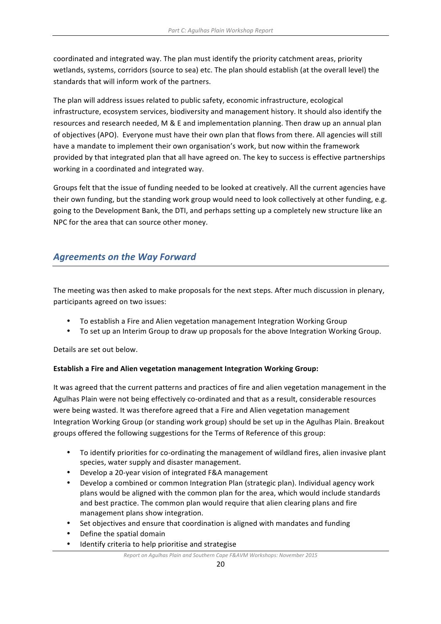coordinated and integrated way. The plan must identify the priority catchment areas, priority wetlands, systems, corridors (source to sea) etc. The plan should establish (at the overall level) the standards that will inform work of the partners.

The plan will address issues related to public safety, economic infrastructure, ecological infrastructure, ecosystem services, biodiversity and management history. It should also identify the resources and research needed, M & E and implementation planning. Then draw up an annual plan of objectives (APO). Everyone must have their own plan that flows from there. All agencies will still have a mandate to implement their own organisation's work, but now within the framework provided by that integrated plan that all have agreed on. The key to success is effective partnerships working in a coordinated and integrated way.

Groups felt that the issue of funding needed to be looked at creatively. All the current agencies have their own funding, but the standing work group would need to look collectively at other funding, e.g. going to the Development Bank, the DTI, and perhaps setting up a completely new structure like an NPC for the area that can source other money.

# **Agreements on the Way Forward**

The meeting was then asked to make proposals for the next steps. After much discussion in plenary, participants agreed on two issues:

- To establish a Fire and Alien vegetation management Integration Working Group
- To set up an Interim Group to draw up proposals for the above Integration Working Group.

Details are set out below.

#### **Establish a Fire and Alien vegetation management Integration Working Group:**

It was agreed that the current patterns and practices of fire and alien vegetation management in the Agulhas Plain were not being effectively co-ordinated and that as a result, considerable resources were being wasted. It was therefore agreed that a Fire and Alien vegetation management Integration Working Group (or standing work group) should be set up in the Agulhas Plain. Breakout groups offered the following suggestions for the Terms of Reference of this group:

- To identify priorities for co-ordinating the management of wildland fires, alien invasive plant species, water supply and disaster management.
- Develop a 20-year vision of integrated F&A management
- Develop a combined or common Integration Plan (strategic plan). Individual agency work plans would be aligned with the common plan for the area, which would include standards and best practice. The common plan would require that alien clearing plans and fire management plans show integration.
- Set objectives and ensure that coordination is aligned with mandates and funding
- Define the spatial domain
- Identify criteria to help prioritise and strategise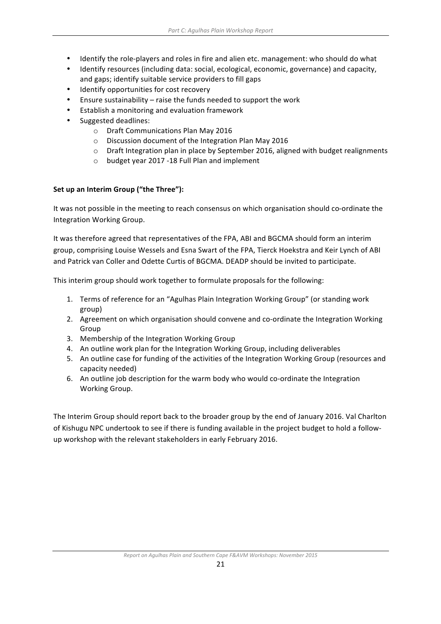- Identify the role-players and roles in fire and alien etc. management: who should do what
- Identify resources (including data: social, ecological, economic, governance) and capacity, and gaps; identify suitable service providers to fill gaps
- Identify opportunities for cost recovery
- Ensure sustainability  $-$  raise the funds needed to support the work
- Establish a monitoring and evaluation framework
- Suggested deadlines:
	- o Draft Communications Plan May 2016
	- o Discussion document of the Integration Plan May 2016
	- $\circ$  Draft Integration plan in place by September 2016, aligned with budget realignments
	- o budget year 2017 -18 Full Plan and implement

#### Set up an Interim Group ("the Three"):

It was not possible in the meeting to reach consensus on which organisation should co-ordinate the Integration Working Group.

It was therefore agreed that representatives of the FPA, ABI and BGCMA should form an interim group, comprising Louise Wessels and Esna Swart of the FPA, Tierck Hoekstra and Keir Lynch of ABI and Patrick van Coller and Odette Curtis of BGCMA. DEADP should be invited to participate.

This interim group should work together to formulate proposals for the following:

- 1. Terms of reference for an "Agulhas Plain Integration Working Group" (or standing work group)
- 2. Agreement on which organisation should convene and co-ordinate the Integration Working Group
- 3. Membership of the Integration Working Group
- 4. An outline work plan for the Integration Working Group, including deliverables
- 5. An outline case for funding of the activities of the Integration Working Group (resources and capacity needed)
- 6. An outline job description for the warm body who would co-ordinate the Integration Working Group.

The Interim Group should report back to the broader group by the end of January 2016. Val Charlton of Kishugu NPC undertook to see if there is funding available in the project budget to hold a followup workshop with the relevant stakeholders in early February 2016.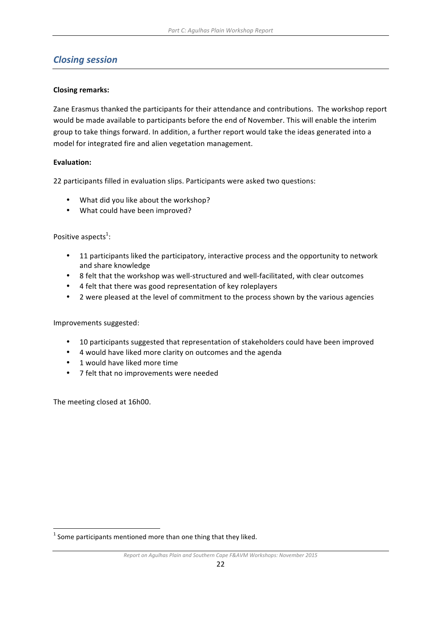# *Closing session*

#### **Closing remarks:**

Zane Erasmus thanked the participants for their attendance and contributions. The workshop report would be made available to participants before the end of November. This will enable the interim group to take things forward. In addition, a further report would take the ideas generated into a model for integrated fire and alien vegetation management.

#### **Evaluation:**

22 participants filled in evaluation slips. Participants were asked two questions:

- What did you like about the workshop?
- What could have been improved?

#### Positive aspects<sup>1</sup>:

- 11 participants liked the participatory, interactive process and the opportunity to network and share knowledge
- 8 felt that the workshop was well-structured and well-facilitated, with clear outcomes
- 4 felt that there was good representation of key roleplayers
- 2 were pleased at the level of commitment to the process shown by the various agencies

Improvements suggested:

- 10 participants suggested that representation of stakeholders could have been improved
- 4 would have liked more clarity on outcomes and the agenda
- 1 would have liked more time
- 7 felt that no improvements were needed

The meeting closed at 16h00.

<u> 1989 - Johann Stein, fransk politiker (d. 1989)</u>

 $1$  Some participants mentioned more than one thing that they liked.

*Report* on Agulhas Plain and Southern Cape F&AVM Workshops: November 2015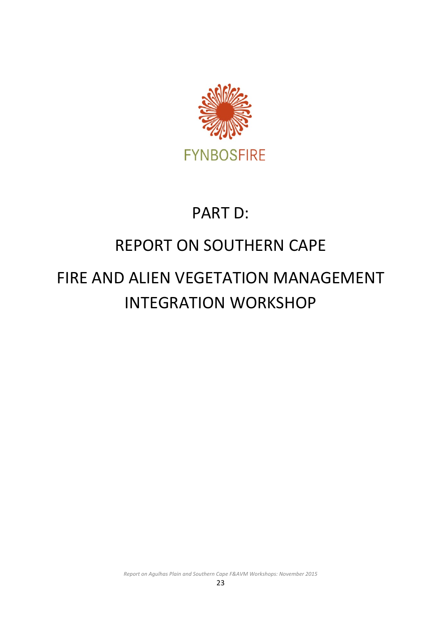

# PART D:

# **REPORT ON SOUTHERN CAPE**

# FIRE AND ALIEN VEGETATION MANAGEMENT INTEGRATION WORKSHOP

*Report* on Agulhas Plain and Southern Cape F&AVM Workshops: November 2015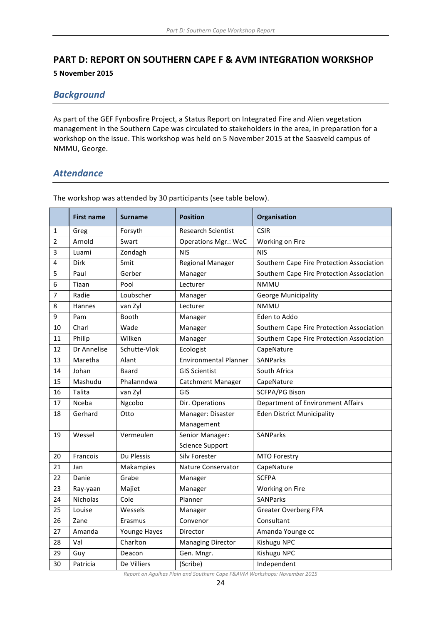# **PART D: REPORT ON SOUTHERN CAPE F & AVM INTEGRATION WORKSHOP**

**5 November 2015**

# *Background*

As part of the GEF Fynbosfire Project, a Status Report on Integrated Fire and Alien vegetation management in the Southern Cape was circulated to stakeholders in the area, in preparation for a workshop on the issue. This workshop was held on 5 November 2015 at the Saasveld campus of NMMU, George.

### *Attendance*

|             | <b>First name</b> | <b>Surname</b> | <b>Position</b>              | Organisation                              |  |
|-------------|-------------------|----------------|------------------------------|-------------------------------------------|--|
| 1           | Greg              | Forsyth        | <b>Research Scientist</b>    | <b>CSIR</b>                               |  |
| $\mathbf 2$ | Arnold            | Swart          | <b>Operations Mgr.: WeC</b>  | Working on Fire                           |  |
| 3           | Luami             | Zondagh        | <b>NIS</b>                   | <b>NIS</b>                                |  |
| 4           | <b>Dirk</b>       | Smit           | <b>Regional Manager</b>      | Southern Cape Fire Protection Association |  |
| 5           | Paul              | Gerber         | Manager                      | Southern Cape Fire Protection Association |  |
| 6           | Tiaan             | Pool           | Lecturer                     | <b>NMMU</b>                               |  |
| 7           | Radie             | Loubscher      | Manager                      | <b>George Municipality</b>                |  |
| 8           | Hannes            | van Zyl        | Lecturer                     | <b>NMMU</b>                               |  |
| 9           | Pam               | Booth          | Manager                      | Eden to Addo                              |  |
| 10          | Charl             | Wade           | Manager                      | Southern Cape Fire Protection Association |  |
| 11          | Philip            | Wilken         | Manager                      | Southern Cape Fire Protection Association |  |
| 12          | Dr Annelise       | Schutte-Vlok   | Ecologist                    | CapeNature                                |  |
| 13          | Maretha           | Alant          | <b>Environmental Planner</b> | <b>SANParks</b>                           |  |
| 14          | Johan             | Baard          | <b>GIS Scientist</b>         | South Africa                              |  |
| 15          | Mashudu           | Phalanndwa     | <b>Catchment Manager</b>     | CapeNature                                |  |
| 16          | Talita            | van Zyl        | GIS                          | <b>SCFPA/PG Bison</b>                     |  |
| 17          | Nceba             | Ngcobo         | Dir. Operations              | Department of Environment Affairs         |  |
| 18          | Gerhard           | Otto           | Manager: Disaster            | <b>Eden District Municipality</b>         |  |
|             |                   |                | Management                   |                                           |  |
| 19          | Wessel            | Vermeulen      | Senior Manager:              | SANParks                                  |  |
|             |                   |                | <b>Science Support</b>       |                                           |  |
| 20          | Francois          | Du Plessis     | <b>Silv Forester</b>         | <b>MTO Forestry</b>                       |  |
| 21          | Jan               | Makampies      | Nature Conservator           | CapeNature                                |  |
| 22          | Danie             | Grabe          | Manager                      | <b>SCFPA</b>                              |  |
| 23          | Ray-yaan          | Majiet         | Manager                      | Working on Fire                           |  |
| 24          | Nicholas          | Cole           | Planner                      | <b>SANParks</b>                           |  |
| 25          | Louise            | Wessels        | Manager                      | <b>Greater Overberg FPA</b>               |  |
| 26          | Zane              | Erasmus        | Convenor                     | Consultant                                |  |
| 27          | Amanda            | Younge Hayes   | Director                     | Amanda Younge cc                          |  |
| 28          | Val               | Charlton       | <b>Managing Director</b>     | Kishugu NPC                               |  |
| 29          | Guy               | Deacon         | Gen. Mngr.                   | Kishugu NPC                               |  |
| 30          | Patricia          | De Villiers    | (Scribe)                     | Independent                               |  |

The workshop was attended by 30 participants (see table below).

**Report on Agulhas Plain and Southern Cape F&AVM Workshops: November 2015**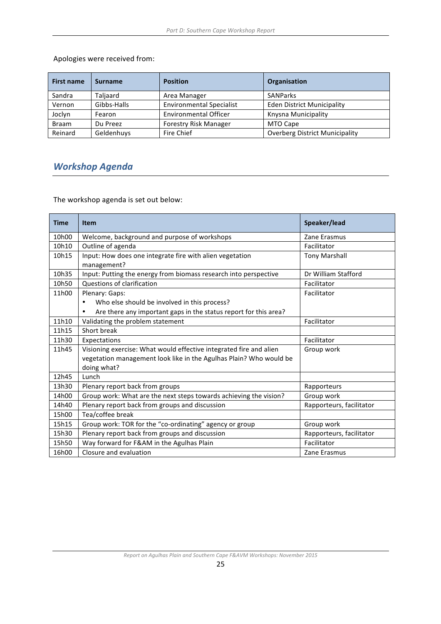Apologies were received from:

| <b>First name</b> | <b>Surname</b> | <b>Position</b>                 | Organisation                          |  |
|-------------------|----------------|---------------------------------|---------------------------------------|--|
| Sandra            | Taljaard       | Area Manager                    | <b>SANParks</b>                       |  |
| Vernon            | Gibbs-Halls    | <b>Environmental Specialist</b> | <b>Eden District Municipality</b>     |  |
| Joclyn            | Fearon         | <b>Environmental Officer</b>    | Knysna Municipality                   |  |
| <b>Braam</b>      | Du Preez       | <b>Forestry Risk Manager</b>    | MTO Cape                              |  |
| Reinard           | Geldenhuys     | Fire Chief                      | <b>Overberg District Municipality</b> |  |

# *Workshop Agenda*

The workshop agenda is set out below:

| <b>Time</b> | <b>Item</b>                                                           | Speaker/lead             |
|-------------|-----------------------------------------------------------------------|--------------------------|
| 10h00       | Welcome, background and purpose of workshops                          | Zane Erasmus             |
| 10h10       | Outline of agenda                                                     | Facilitator              |
| 10h15       | Input: How does one integrate fire with alien vegetation              | <b>Tony Marshall</b>     |
|             | management?                                                           |                          |
| 10h35       | Input: Putting the energy from biomass research into perspective      | Dr William Stafford      |
| 10h50       | Questions of clarification                                            | Facilitator              |
| 11h00       | Plenary: Gaps:                                                        | Facilitator              |
|             | Who else should be involved in this process?                          |                          |
|             | Are there any important gaps in the status report for this area?<br>٠ |                          |
| 11h10       | Validating the problem statement                                      | Facilitator              |
| 11h15       | Short break                                                           |                          |
| 11h30       | Expectations                                                          | Facilitator              |
| 11h45       | Visioning exercise: What would effective integrated fire and alien    | Group work               |
|             | vegetation management look like in the Agulhas Plain? Who would be    |                          |
|             | doing what?                                                           |                          |
| 12h45       | Lunch                                                                 |                          |
| 13h30       | Plenary report back from groups                                       | Rapporteurs              |
| 14h00       | Group work: What are the next steps towards achieving the vision?     | Group work               |
| 14h40       | Plenary report back from groups and discussion                        | Rapporteurs, facilitator |
| 15h00       | Tea/coffee break                                                      |                          |
| 15h15       | Group work: TOR for the "co-ordinating" agency or group               | Group work               |
| 15h30       | Plenary report back from groups and discussion                        | Rapporteurs, facilitator |
| 15h50       | Way forward for F&AM in the Agulhas Plain                             | Facilitator              |
| 16h00       | Closure and evaluation                                                | Zane Erasmus             |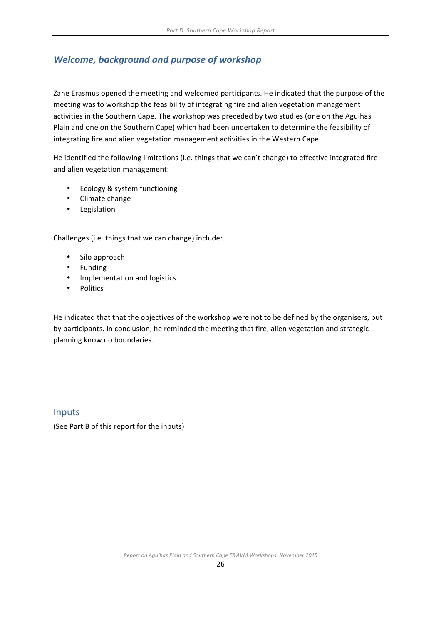# **Welcome, background and purpose of workshop**

Zane Erasmus opened the meeting and welcomed participants. He indicated that the purpose of the meeting was to workshop the feasibility of integrating fire and alien vegetation management activities in the Southern Cape. The workshop was preceded by two studies (one on the Agulhas Plain and one on the Southern Cape) which had been undertaken to determine the feasibility of integrating fire and alien vegetation management activities in the Western Cape.

He identified the following limitations (i.e. things that we can't change) to effective integrated fire and alien vegetation management:

- Ecology & system functioning
- Climate change
- Legislation

Challenges (i.e. things that we can change) include:

- Silo approach
- Funding
- Implementation and logistics
- Politics

He indicated that that the objectives of the workshop were not to be defined by the organisers, but by participants. In conclusion, he reminded the meeting that fire, alien vegetation and strategic planning know no boundaries.

### Inputs

(See Part B of this report for the inputs)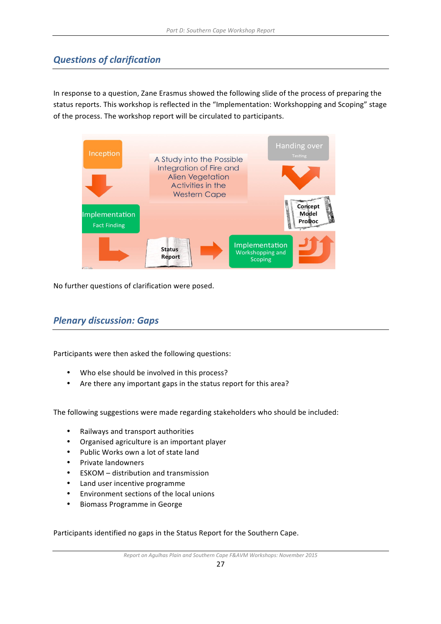# *Questions of clarification*

In response to a question, Zane Erasmus showed the following slide of the process of preparing the status reports. This workshop is reflected in the "Implementation: Workshopping and Scoping" stage of the process. The workshop report will be circulated to participants.



No further questions of clarification were posed.

# *Plenary discussion: Gaps*

Participants were then asked the following questions:

- Who else should be involved in this process?
- Are there any important gaps in the status report for this area?

The following suggestions were made regarding stakeholders who should be included:

- Railways and transport authorities
- Organised agriculture is an important player
- Public Works own a lot of state land
- Private landowners
- ESKOM distribution and transmission
- Land user incentive programme
- Environment sections of the local unions
- Biomass Programme in George

Participants identified no gaps in the Status Report for the Southern Cape.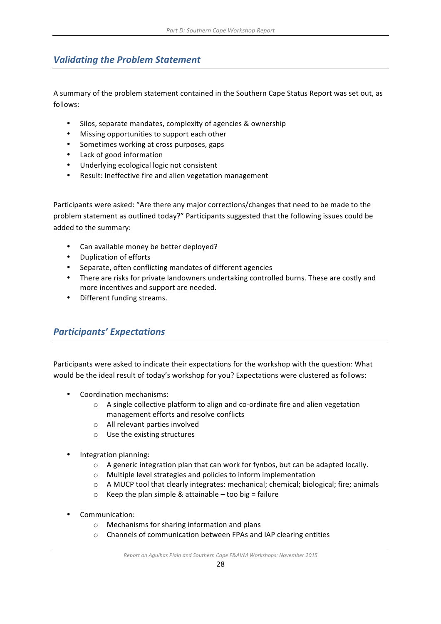# **Validating the Problem Statement**

A summary of the problem statement contained in the Southern Cape Status Report was set out, as follows:

- Silos, separate mandates, complexity of agencies & ownership
- Missing opportunities to support each other
- Sometimes working at cross purposes, gaps
- Lack of good information
- Underlying ecological logic not consistent
- Result: Ineffective fire and alien vegetation management

Participants were asked: "Are there any major corrections/changes that need to be made to the problem statement as outlined today?" Participants suggested that the following issues could be added to the summary:

- Can available money be better deployed?
- Duplication of efforts
- Separate, often conflicting mandates of different agencies
- There are risks for private landowners undertaking controlled burns. These are costly and more incentives and support are needed.
- Different funding streams.

# *Participants' Expectations*

Participants were asked to indicate their expectations for the workshop with the question: What would be the ideal result of today's workshop for you? Expectations were clustered as follows:

- Coordination mechanisms:
	- $\circ$  A single collective platform to align and co-ordinate fire and alien vegetation management efforts and resolve conflicts
	- o All relevant parties involved
	- $\circ$  Use the existing structures
- Integration planning:
	- $\circ$  A generic integration plan that can work for fynbos, but can be adapted locally.
	- $\circ$  Multiple level strategies and policies to inform implementation
	- $\circ$  A MUCP tool that clearly integrates: mechanical; chemical; biological; fire; animals
	- $\circ$  Keep the plan simple & attainable too big = failure
- Communication:
	- $\circ$  Mechanisms for sharing information and plans
	- $\circ$  Channels of communication between FPAs and IAP clearing entities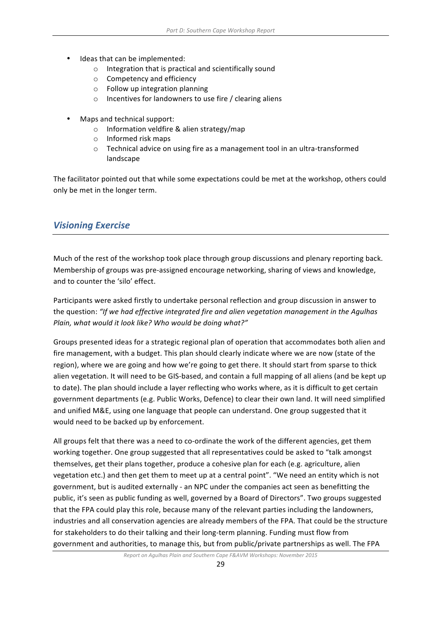- Ideas that can be implemented:
	- $\circ$  Integration that is practical and scientifically sound
	- $\circ$  Competency and efficiency
	- $\circ$  Follow up integration planning
	- $\circ$  Incentives for landowners to use fire / clearing aliens
- Maps and technical support:
	- $\circ$  Information veldfire & alien strategy/map
	- $\circ$  Informed risk maps
	- $\circ$  Technical advice on using fire as a management tool in an ultra-transformed landscape

The facilitator pointed out that while some expectations could be met at the workshop, others could only be met in the longer term.

# *Visioning Exercise*

Much of the rest of the workshop took place through group discussions and plenary reporting back. Membership of groups was pre-assigned encourage networking, sharing of views and knowledge, and to counter the 'silo' effect.

Participants were asked firstly to undertake personal reflection and group discussion in answer to the question: "If we had effective integrated fire and alien vegetation management in the Agulhas Plain, what would it look like? Who would be doing what?"

Groups presented ideas for a strategic regional plan of operation that accommodates both alien and fire management, with a budget. This plan should clearly indicate where we are now (state of the region), where we are going and how we're going to get there. It should start from sparse to thick alien vegetation. It will need to be GIS-based, and contain a full mapping of all aliens (and be kept up to date). The plan should include a layer reflecting who works where, as it is difficult to get certain government departments (e.g. Public Works, Defence) to clear their own land. It will need simplified and unified M&E, using one language that people can understand. One group suggested that it would need to be backed up by enforcement.

All groups felt that there was a need to co-ordinate the work of the different agencies, get them working together. One group suggested that all representatives could be asked to "talk amongst themselves, get their plans together, produce a cohesive plan for each (e.g. agriculture, alien vegetation etc.) and then get them to meet up at a central point". "We need an entity which is not government, but is audited externally - an NPC under the companies act seen as benefitting the public, it's seen as public funding as well, governed by a Board of Directors". Two groups suggested that the FPA could play this role, because many of the relevant parties including the landowners, industries and all conservation agencies are already members of the FPA. That could be the structure for stakeholders to do their talking and their long-term planning. Funding must flow from government and authorities, to manage this, but from public/private partnerships as well. The FPA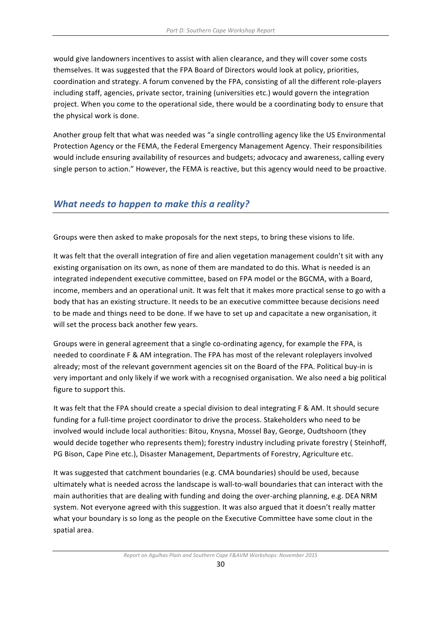would give landowners incentives to assist with alien clearance, and they will cover some costs themselves. It was suggested that the FPA Board of Directors would look at policy, priorities, coordination and strategy. A forum convened by the FPA, consisting of all the different role-players including staff, agencies, private sector, training (universities etc.) would govern the integration project. When you come to the operational side, there would be a coordinating body to ensure that the physical work is done.

Another group felt that what was needed was "a single controlling agency like the US Environmental Protection Agency or the FEMA, the Federal Emergency Management Agency. Their responsibilities would include ensuring availability of resources and budgets; advocacy and awareness, calling every single person to action." However, the FEMA is reactive, but this agency would need to be proactive.

# *What needs to happen to make this a reality?*

Groups were then asked to make proposals for the next steps, to bring these visions to life.

It was felt that the overall integration of fire and alien vegetation management couldn't sit with any existing organisation on its own, as none of them are mandated to do this. What is needed is an integrated independent executive committee, based on FPA model or the BGCMA, with a Board, income, members and an operational unit. It was felt that it makes more practical sense to go with a body that has an existing structure. It needs to be an executive committee because decisions need to be made and things need to be done. If we have to set up and capacitate a new organisation, it will set the process back another few years.

Groups were in general agreement that a single co-ordinating agency, for example the FPA, is needed to coordinate F & AM integration. The FPA has most of the relevant roleplayers involved already; most of the relevant government agencies sit on the Board of the FPA. Political buy-in is very important and only likely if we work with a recognised organisation. We also need a big political figure to support this.

It was felt that the FPA should create a special division to deal integrating F & AM. It should secure funding for a full-time project coordinator to drive the process. Stakeholders who need to be involved would include local authorities: Bitou, Knysna, Mossel Bay, George, Oudtshoorn (they would decide together who represents them); forestry industry including private forestry (Steinhoff, PG Bison, Cape Pine etc.), Disaster Management, Departments of Forestry, Agriculture etc.

It was suggested that catchment boundaries (e.g. CMA boundaries) should be used, because ultimately what is needed across the landscape is wall-to-wall boundaries that can interact with the main authorities that are dealing with funding and doing the over-arching planning, e.g. DEA NRM system. Not everyone agreed with this suggestion. It was also argued that it doesn't really matter what your boundary is so long as the people on the Executive Committee have some clout in the spatial area.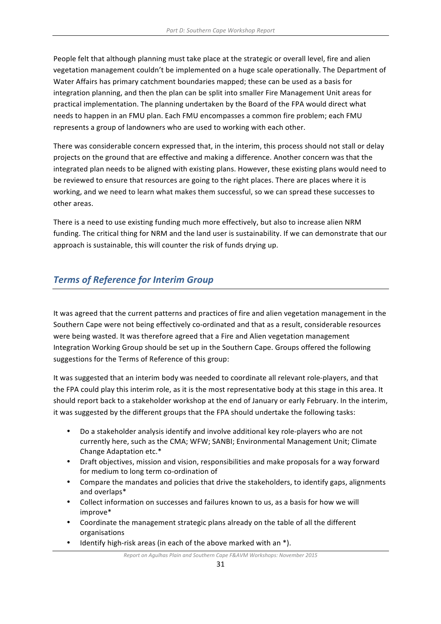People felt that although planning must take place at the strategic or overall level, fire and alien vegetation management couldn't be implemented on a huge scale operationally. The Department of Water Affairs has primary catchment boundaries mapped; these can be used as a basis for integration planning, and then the plan can be split into smaller Fire Management Unit areas for practical implementation. The planning undertaken by the Board of the FPA would direct what needs to happen in an FMU plan. Each FMU encompasses a common fire problem; each FMU represents a group of landowners who are used to working with each other.

There was considerable concern expressed that, in the interim, this process should not stall or delay projects on the ground that are effective and making a difference. Another concern was that the integrated plan needs to be aligned with existing plans. However, these existing plans would need to be reviewed to ensure that resources are going to the right places. There are places where it is working, and we need to learn what makes them successful, so we can spread these successes to other areas.

There is a need to use existing funding much more effectively, but also to increase alien NRM funding. The critical thing for NRM and the land user is sustainability. If we can demonstrate that our approach is sustainable, this will counter the risk of funds drying up.

# **Terms of Reference for Interim Group**

It was agreed that the current patterns and practices of fire and alien vegetation management in the Southern Cape were not being effectively co-ordinated and that as a result, considerable resources were being wasted. It was therefore agreed that a Fire and Alien vegetation management Integration Working Group should be set up in the Southern Cape. Groups offered the following suggestions for the Terms of Reference of this group:

It was suggested that an interim body was needed to coordinate all relevant role-players, and that the FPA could play this interim role, as it is the most representative body at this stage in this area. It should report back to a stakeholder workshop at the end of January or early February. In the interim, it was suggested by the different groups that the FPA should undertake the following tasks:

- Do a stakeholder analysis identify and involve additional key role-players who are not currently here, such as the CMA; WFW; SANBI; Environmental Management Unit; Climate Change Adaptation etc.\*
- Draft objectives, mission and vision, responsibilities and make proposals for a way forward for medium to long term co-ordination of
- Compare the mandates and policies that drive the stakeholders, to identify gaps, alignments and overlaps\*
- Collect information on successes and failures known to us, as a basis for how we will improve\*
- Coordinate the management strategic plans already on the table of all the different organisations
- Identify high-risk areas (in each of the above marked with an  $*$ ).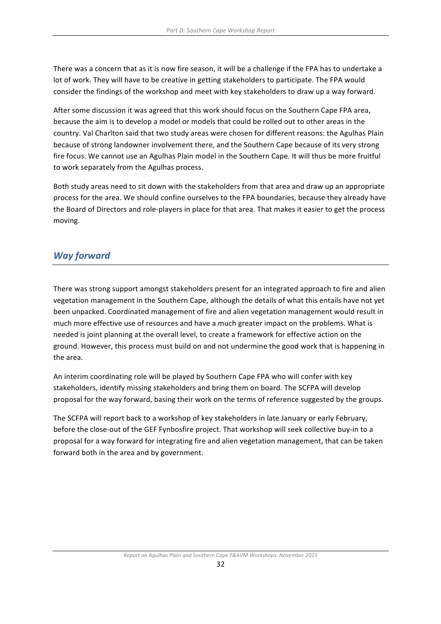There was a concern that as it is now fire season, it will be a challenge if the FPA has to undertake a lot of work. They will have to be creative in getting stakeholders to participate. The FPA would consider the findings of the workshop and meet with key stakeholders to draw up a way forward.

After some discussion it was agreed that this work should focus on the Southern Cape FPA area. because the aim is to develop a model or models that could be rolled out to other areas in the country. Val Charlton said that two study areas were chosen for different reasons: the Agulhas Plain because of strong landowner involvement there, and the Southern Cape because of its very strong fire focus. We cannot use an Agulhas Plain model in the Southern Cape. It will thus be more fruitful to work separately from the Agulhas process.

Both study areas need to sit down with the stakeholders from that area and draw up an appropriate process for the area. We should confine ourselves to the FPA boundaries, because they already have the Board of Directors and role-players in place for that area. That makes it easier to get the process moving.

### *Way forward*

There was strong support amongst stakeholders present for an integrated approach to fire and alien vegetation management in the Southern Cape, although the details of what this entails have not yet been unpacked. Coordinated management of fire and alien vegetation management would result in much more effective use of resources and have a much greater impact on the problems. What is needed is joint planning at the overall level, to create a framework for effective action on the ground. However, this process must build on and not undermine the good work that is happening in the area.

An interim coordinating role will be played by Southern Cape FPA who will confer with key stakeholders, identify missing stakeholders and bring them on board. The SCFPA will develop proposal for the way forward, basing their work on the terms of reference suggested by the groups.

The SCFPA will report back to a workshop of key stakeholders in late January or early February, before the close-out of the GEF Fynbosfire project. That workshop will seek collective buy-in to a proposal for a way forward for integrating fire and alien vegetation management, that can be taken forward both in the area and by government.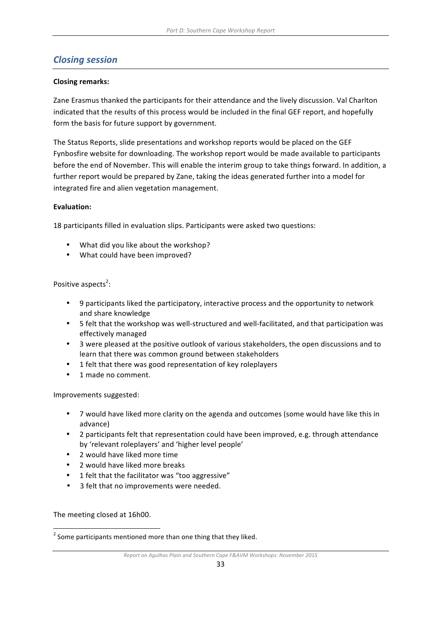# *Closing session*

#### **Closing remarks:**

Zane Erasmus thanked the participants for their attendance and the lively discussion. Val Charlton indicated that the results of this process would be included in the final GEF report, and hopefully form the basis for future support by government.

The Status Reports, slide presentations and workshop reports would be placed on the GEF Fynbosfire website for downloading. The workshop report would be made available to participants before the end of November. This will enable the interim group to take things forward. In addition, a further report would be prepared by Zane, taking the ideas generated further into a model for integrated fire and alien vegetation management.

#### **Evaluation:**

18 participants filled in evaluation slips. Participants were asked two questions:

- What did you like about the workshop?
- What could have been improved?

#### Positive aspects<sup>2</sup>:

- 9 participants liked the participatory, interactive process and the opportunity to network and share knowledge
- 5 felt that the workshop was well-structured and well-facilitated, and that participation was effectively managed
- 3 were pleased at the positive outlook of various stakeholders, the open discussions and to learn that there was common ground between stakeholders
- 1 felt that there was good representation of key roleplayers
- 1 made no comment.

Improvements suggested:

- 7 would have liked more clarity on the agenda and outcomes (some would have like this in advance)
- 2 participants felt that representation could have been improved, e.g. through attendance by 'relevant roleplayers' and 'higher level people'
- 2 would have liked more time
- 2 would have liked more breaks
- 1 felt that the facilitator was "too aggressive"
- 3 felt that no improvements were needed.

The meeting closed at 16h00.

<u> 1989 - Johann Stein, fransk politiker (d. 1989)</u>

 $2$  Some participants mentioned more than one thing that they liked.

*Report* on Agulhas Plain and Southern Cape F&AVM Workshops: November 2015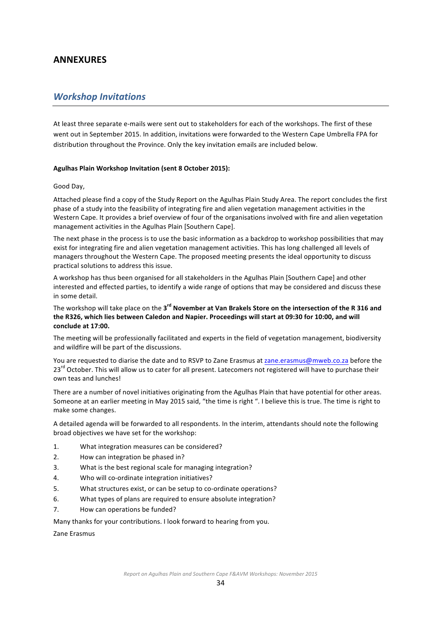### **ANNEXURES**

#### *Workshop Invitations*

At least three separate e-mails were sent out to stakeholders for each of the workshops. The first of these went out in September 2015. In addition, invitations were forwarded to the Western Cape Umbrella FPA for distribution throughout the Province. Only the key invitation emails are included below.

#### Agulhas Plain Workshop Invitation (sent 8 October 2015):

#### Good Day,

Attached please find a copy of the Study Report on the Agulhas Plain Study Area. The report concludes the first phase of a study into the feasibility of integrating fire and alien vegetation management activities in the Western Cape. It provides a brief overview of four of the organisations involved with fire and alien vegetation management activities in the Agulhas Plain [Southern Cape].

The next phase in the process is to use the basic information as a backdrop to workshop possibilities that may exist for integrating fire and alien vegetation management activities. This has long challenged all levels of managers throughout the Western Cape. The proposed meeting presents the ideal opportunity to discuss practical solutions to address this issue.

A workshop has thus been organised for all stakeholders in the Agulhas Plain [Southern Cape] and other interested and effected parties, to identify a wide range of options that may be considered and discuss these in some detail.

The workshop will take place on the 3<sup>rd</sup> November at Van Brakels Store on the intersection of the R 316 and the R326, which lies between Caledon and Napier. Proceedings will start at 09:30 for 10:00, and will **conclude at 17:00.**

The meeting will be professionally facilitated and experts in the field of vegetation management, biodiversity and wildfire will be part of the discussions.

You are requested to diarise the date and to RSVP to Zane Erasmus at zane.erasmus@mweb.co.za before the 23<sup>rd</sup> October. This will allow us to cater for all present. Latecomers not registered will have to purchase their own teas and lunches!

There are a number of novel initiatives originating from the Agulhas Plain that have potential for other areas. Someone at an earlier meeting in May 2015 said, "the time is right ". I believe this is true. The time is right to make some changes.

A detailed agenda will be forwarded to all respondents. In the interim, attendants should note the following broad objectives we have set for the workshop:

- 1. What integration measures can be considered?
- 2. How can integration be phased in?
- 3. What is the best regional scale for managing integration?
- 4. Who will co-ordinate integration initiatives?
- 5. What structures exist, or can be setup to co-ordinate operations?
- 6. What types of plans are required to ensure absolute integration?
- 7. How can operations be funded?

Many thanks for your contributions. I look forward to hearing from you.

Zane Erasmus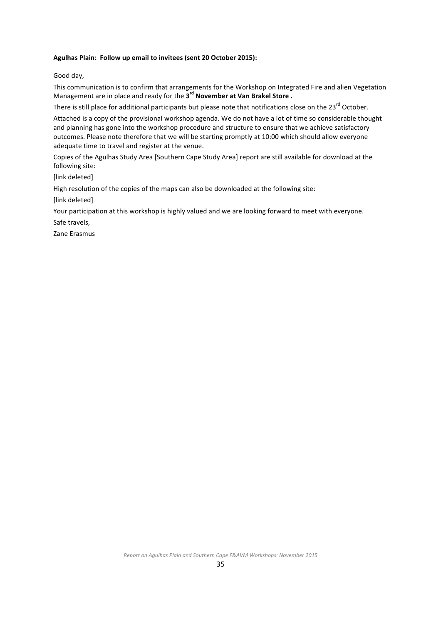#### Agulhas Plain: Follow up email to invitees (sent 20 October 2015):

Good day,

This communication is to confirm that arrangements for the Workshop on Integrated Fire and alien Vegetation Management are in place and ready for the 3<sup>rd</sup> November at Van Brakel Store.

There is still place for additional participants but please note that notifications close on the  $23^{rd}$  October.

Attached is a copy of the provisional workshop agenda. We do not have a lot of time so considerable thought and planning has gone into the workshop procedure and structure to ensure that we achieve satisfactory outcomes. Please note therefore that we will be starting promptly at 10:00 which should allow everyone adequate time to travel and register at the venue.

Copies of the Agulhas Study Area [Southern Cape Study Area] report are still available for download at the following site:

[link deleted]

High resolution of the copies of the maps can also be downloaded at the following site:

[link deleted]

Your participation at this workshop is highly valued and we are looking forward to meet with everyone.

Safe travels,

Zane Erasmus